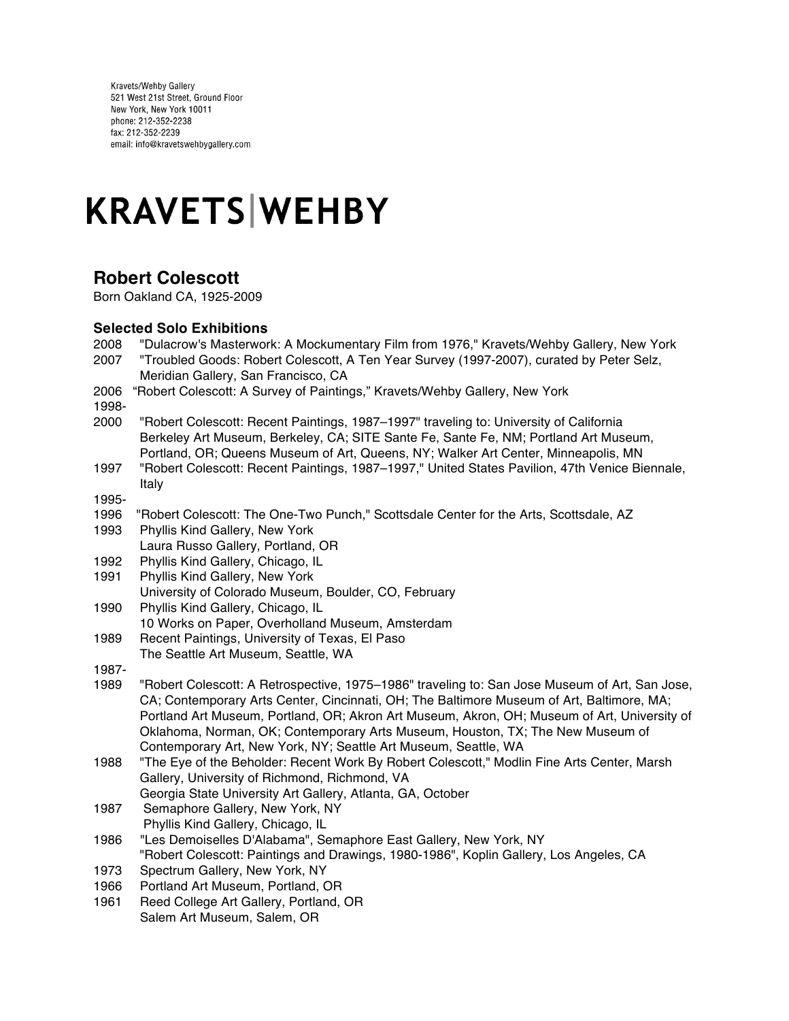Kravets/Wehby Gallery<br>521 West 21st Street, Ground Floor New York, New York 10011 phone: 212-352-2238 fax: 212-352-2239 email: info@kravetswehbygallery.com

# **KRAVETS WEHBY**

# **Robert Colescott**

Born Oakland CA, 1925-2009

## **Selected Solo Exhibitions**

| 2008<br>2007  | "Dulacrow's Masterwork: A Mockumentary Film from 1976," Kravets/Wehby Gallery, New York<br>"Troubled Goods: Robert Colescott, A Ten Year Survey (1997-2007), curated by Peter Selz,<br>Meridian Gallery, San Francisco, CA                                           |
|---------------|----------------------------------------------------------------------------------------------------------------------------------------------------------------------------------------------------------------------------------------------------------------------|
| 2006<br>1998- | "Robert Colescott: A Survey of Paintings," Kravets/Wehby Gallery, New York                                                                                                                                                                                           |
| 2000          | "Robert Colescott: Recent Paintings, 1987-1997" traveling to: University of California<br>Berkeley Art Museum, Berkeley, CA; SITE Sante Fe, Sante Fe, NM; Portland Art Museum,<br>Portland, OR; Queens Museum of Art, Queens, NY; Walker Art Center, Minneapolis, MN |
| 1997          | "Robert Colescott: Recent Paintings, 1987–1997," United States Pavilion, 47th Venice Biennale,<br>Italy                                                                                                                                                              |
| 1995-         |                                                                                                                                                                                                                                                                      |
| 1996          | "Robert Colescott: The One-Two Punch," Scottsdale Center for the Arts, Scottsdale, AZ                                                                                                                                                                                |
| 1993          | Phyllis Kind Gallery, New York                                                                                                                                                                                                                                       |
|               | Laura Russo Gallery, Portland, OR                                                                                                                                                                                                                                    |
| 1992          | Phyllis Kind Gallery, Chicago, IL                                                                                                                                                                                                                                    |
| 1991          | Phyllis Kind Gallery, New York                                                                                                                                                                                                                                       |
|               | University of Colorado Museum, Boulder, CO, February                                                                                                                                                                                                                 |
| 1990          | Phyllis Kind Gallery, Chicago, IL                                                                                                                                                                                                                                    |
|               | 10 Works on Paper, Overholland Museum, Amsterdam                                                                                                                                                                                                                     |
| 1989          | Recent Paintings, University of Texas, El Paso                                                                                                                                                                                                                       |
|               | The Seattle Art Museum, Seattle, WA                                                                                                                                                                                                                                  |
| 1987-         |                                                                                                                                                                                                                                                                      |
| 1989          | "Robert Colescott: A Retrospective, 1975-1986" traveling to: San Jose Museum of Art, San Jose,                                                                                                                                                                       |
|               | CA; Contemporary Arts Center, Cincinnati, OH; The Baltimore Museum of Art, Baltimore, MA;                                                                                                                                                                            |
|               | Portland Art Museum, Portland, OR; Akron Art Museum, Akron, OH; Museum of Art, University of                                                                                                                                                                         |
|               | Oklahoma, Norman, OK; Contemporary Arts Museum, Houston, TX; The New Museum of                                                                                                                                                                                       |
|               | Contemporary Art, New York, NY; Seattle Art Museum, Seattle, WA                                                                                                                                                                                                      |
| 1988          | "The Eye of the Beholder: Recent Work By Robert Colescott," Modlin Fine Arts Center, Marsh                                                                                                                                                                           |
|               | Gallery, University of Richmond, Richmond, VA                                                                                                                                                                                                                        |
|               | Georgia State University Art Gallery, Atlanta, GA, October                                                                                                                                                                                                           |
| 1987          | Semaphore Gallery, New York, NY                                                                                                                                                                                                                                      |
|               | Phyllis Kind Gallery, Chicago, IL                                                                                                                                                                                                                                    |
| 1986          | "Les Demoiselles D'Alabama", Semaphore East Gallery, New York, NY                                                                                                                                                                                                    |
|               | "Robert Colescott: Paintings and Drawings, 1980-1986", Koplin Gallery, Los Angeles, CA                                                                                                                                                                               |
| 1973          | Spectrum Gallery, New York, NY                                                                                                                                                                                                                                       |
| 1966          | Portland Art Museum, Portland, OR                                                                                                                                                                                                                                    |
| 1961          | Reed College Art Gallery, Portland, OR                                                                                                                                                                                                                               |
|               | Salem Art Museum, Salem, OR                                                                                                                                                                                                                                          |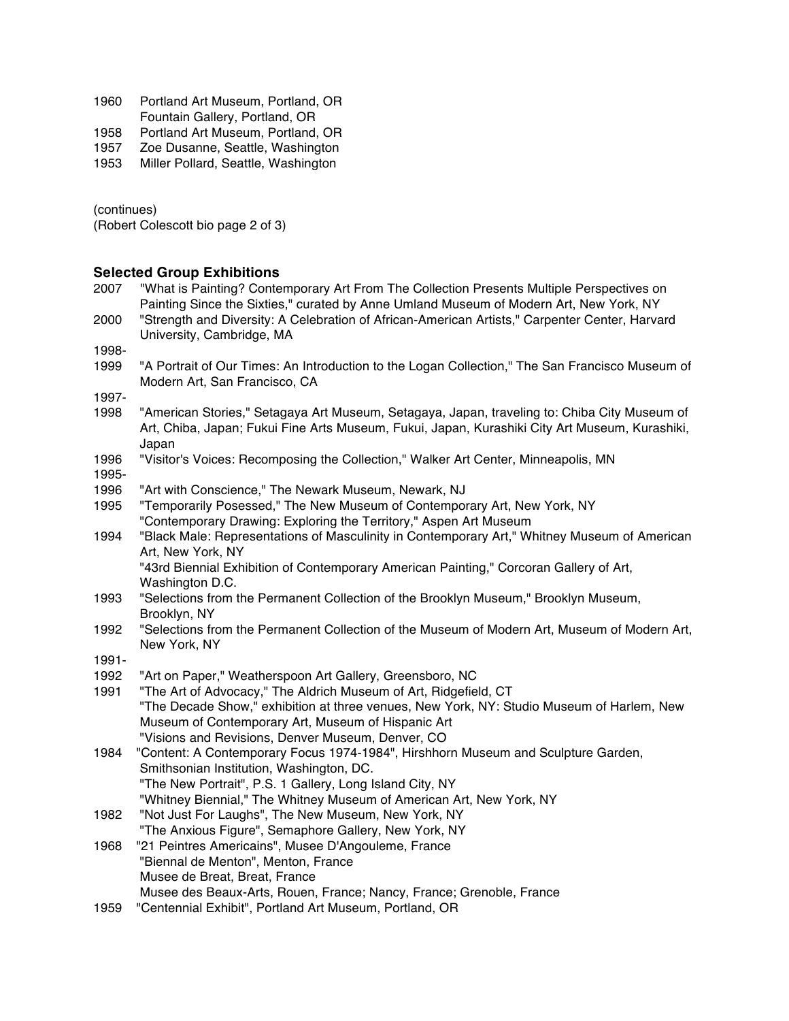| 1960 | Portland Art Museum, Portland, OR |
|------|-----------------------------------|
|      | Fountain Gallery, Portland, OR    |

1958 Portland Art Museum, Portland, OR

- 1957 Zoe Dusanne, Seattle, Washington
- 1953 Miller Pollard, Seattle, Washington

(continues)

(Robert Colescott bio page 2 of 3)

### **Selected Group Exhibitions**

- 2007 "What is Painting? Contemporary Art From The Collection Presents Multiple Perspectives on Painting Since the Sixties," curated by Anne Umland Museum of Modern Art, New York, NY 2000 "Strength and Diversity: A Celebration of African-American Artists," Carpenter Center, Harvard
- University, Cambridge, MA

1998-

1999 "A Portrait of Our Times: An Introduction to the Logan Collection," The San Francisco Museum of Modern Art, San Francisco, CA

1997-

- 1998 "American Stories," Setagaya Art Museum, Setagaya, Japan, traveling to: Chiba City Museum of Art, Chiba, Japan; Fukui Fine Arts Museum, Fukui, Japan, Kurashiki City Art Museum, Kurashiki, Japan
- 1996 "Visitor's Voices: Recomposing the Collection," Walker Art Center, Minneapolis, MN
- 1995-
- 1996 "Art with Conscience," The Newark Museum, Newark, NJ
- 1995 "Temporarily Posessed," The New Museum of Contemporary Art, New York, NY "Contemporary Drawing: Exploring the Territory," Aspen Art Museum
- 1994 "Black Male: Representations of Masculinity in Contemporary Art," Whitney Museum of American Art, New York, NY

"43rd Biennial Exhibition of Contemporary American Painting," Corcoran Gallery of Art, Washington D.C.

- 1993 "Selections from the Permanent Collection of the Brooklyn Museum," Brooklyn Museum, Brooklyn, NY
- 1992 "Selections from the Permanent Collection of the Museum of Modern Art, Museum of Modern Art, New York, NY

1991-

- 1992 "Art on Paper," Weatherspoon Art Gallery, Greensboro, NC
- 1991 "The Art of Advocacy," The Aldrich Museum of Art, Ridgefield, CT "The Decade Show," exhibition at three venues, New York, NY: Studio Museum of Harlem, New Museum of Contemporary Art, Museum of Hispanic Art "Visions and Revisions, Denver Museum, Denver, CO
- 1984 "Content: A Contemporary Focus 1974-1984", Hirshhorn Museum and Sculpture Garden, Smithsonian Institution, Washington, DC. "The New Portrait", P.S. 1 Gallery, Long Island City, NY "Whitney Biennial," The Whitney Museum of American Art, New York, NY
- 1982 "Not Just For Laughs", The New Museum, New York, NY
- "The Anxious Figure", Semaphore Gallery, New York, NY
- 1968 "21 Peintres Americains", Musee D'Angouleme, France "Biennal de Menton", Menton, France Musee de Breat, Breat, France Musee des Beaux-Arts, Rouen, France; Nancy, France; Grenoble, France
- 1959 "Centennial Exhibit", Portland Art Museum, Portland, OR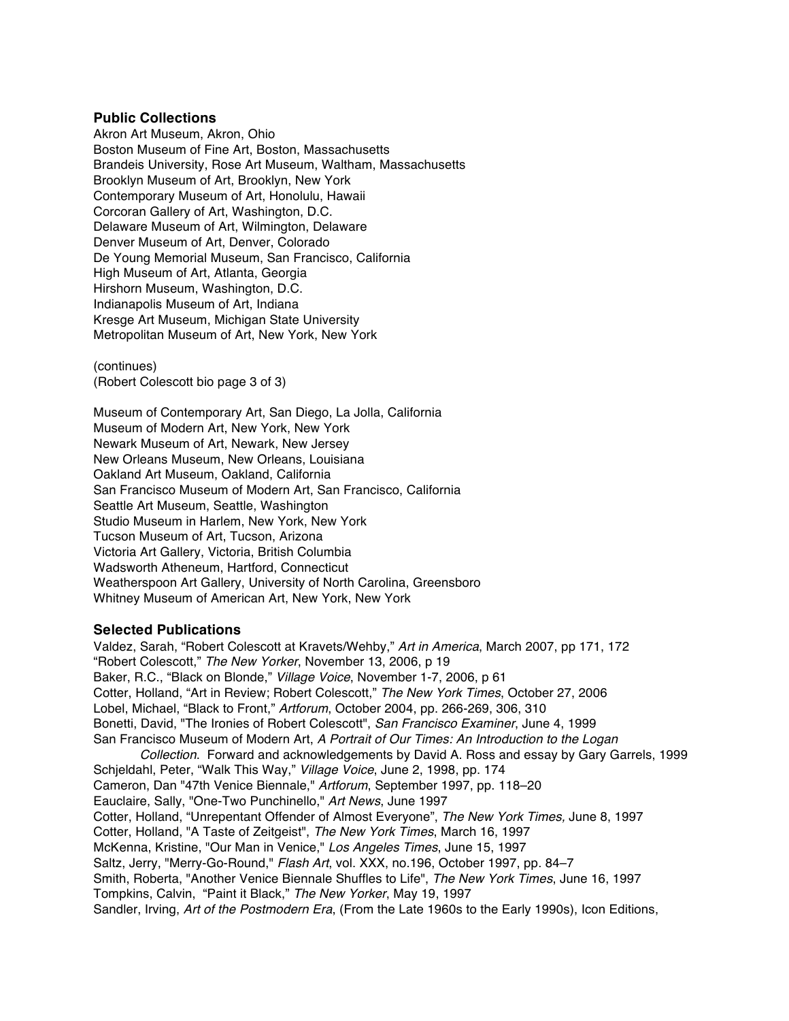#### **Public Collections**

Akron Art Museum, Akron, Ohio Boston Museum of Fine Art, Boston, Massachusetts Brandeis University, Rose Art Museum, Waltham, Massachusetts Brooklyn Museum of Art, Brooklyn, New York Contemporary Museum of Art, Honolulu, Hawaii Corcoran Gallery of Art, Washington, D.C. Delaware Museum of Art, Wilmington, Delaware Denver Museum of Art, Denver, Colorado De Young Memorial Museum, San Francisco, California High Museum of Art, Atlanta, Georgia Hirshorn Museum, Washington, D.C. Indianapolis Museum of Art, Indiana Kresge Art Museum, Michigan State University Metropolitan Museum of Art, New York, New York

(continues) (Robert Colescott bio page 3 of 3)

Museum of Contemporary Art, San Diego, La Jolla, California Museum of Modern Art, New York, New York Newark Museum of Art, Newark, New Jersey New Orleans Museum, New Orleans, Louisiana Oakland Art Museum, Oakland, California San Francisco Museum of Modern Art, San Francisco, California Seattle Art Museum, Seattle, Washington Studio Museum in Harlem, New York, New York Tucson Museum of Art, Tucson, Arizona Victoria Art Gallery, Victoria, British Columbia Wadsworth Atheneum, Hartford, Connecticut Weatherspoon Art Gallery, University of North Carolina, Greensboro Whitney Museum of American Art, New York, New York

#### **Selected Publications**

Valdez, Sarah, "Robert Colescott at Kravets/Wehby," *Art in America*, March 2007, pp 171, 172 "Robert Colescott," *The New Yorker*, November 13, 2006, p 19 Baker, R.C., "Black on Blonde," *Village Voice*, November 1-7, 2006, p 61 Cotter, Holland, "Art in Review; Robert Colescott," *The New York Times*, October 27, 2006 Lobel, Michael, "Black to Front," *Artforum*, October 2004, pp. 266-269, 306, 310 Bonetti, David, "The Ironies of Robert Colescott", *San Francisco Examiner*, June 4, 1999 San Francisco Museum of Modern Art, *A Portrait of Our Times: An Introduction to the Logan Collection*. Forward and acknowledgements by David A. Ross and essay by Gary Garrels, 1999 Schjeldahl, Peter, "Walk This Way," *Village Voice*, June 2, 1998, pp. 174 Cameron, Dan "47th Venice Biennale," *Artforum*, September 1997, pp. 118–20 Eauclaire, Sally, "One-Two Punchinello," *Art News*, June 1997 Cotter, Holland, "Unrepentant Offender of Almost Everyone", *The New York Times,* June 8, 1997 Cotter, Holland, "A Taste of Zeitgeist", *The New York Times*, March 16, 1997 McKenna, Kristine, "Our Man in Venice," *Los Angeles Times*, June 15, 1997 Saltz, Jerry, "Merry-Go-Round," *Flash Art*, vol. XXX, no.196, October 1997, pp. 84–7 Smith, Roberta, "Another Venice Biennale Shuffles to Life", *The New York Times*, June 16, 1997 Tompkins, Calvin, "Paint it Black," *The New Yorker*, May 19, 1997 Sandler, Irving, *Art of the Postmodern Era*, (From the Late 1960s to the Early 1990s), Icon Editions,